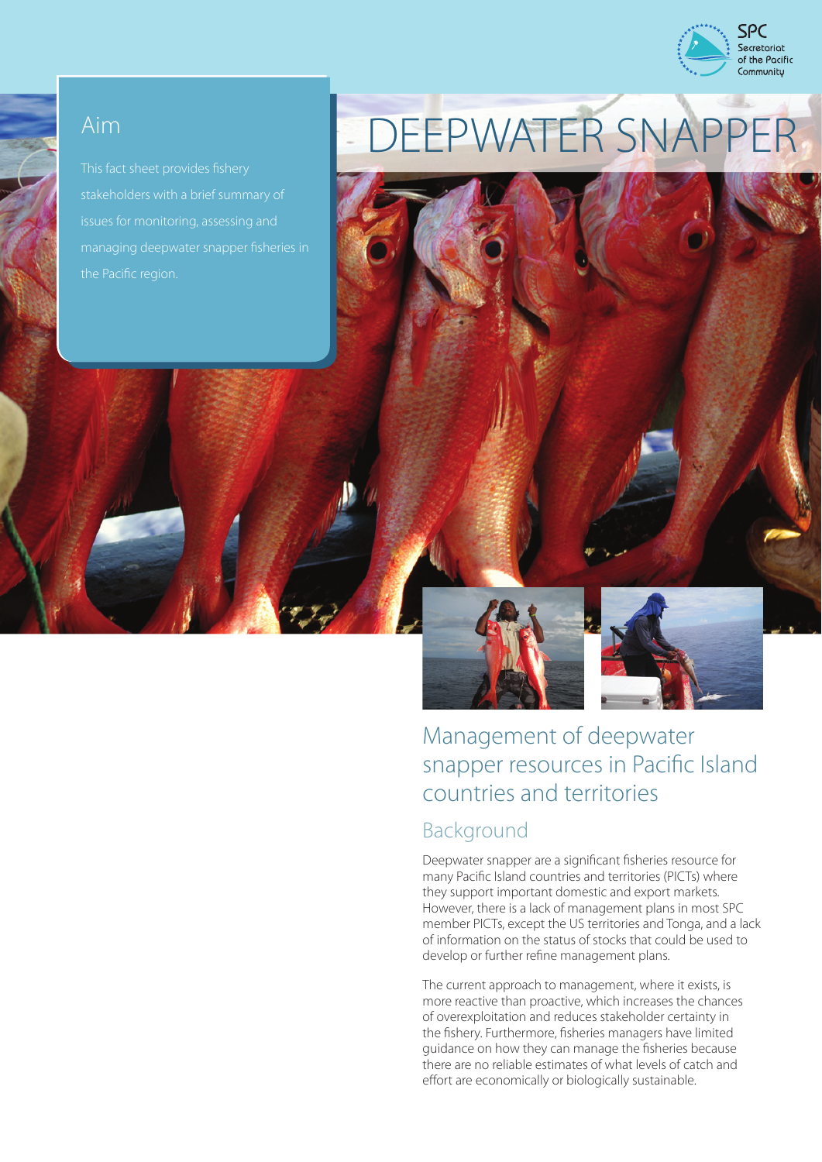

stakeholders with a brief summary of issues for monitoring, assessing and managing deepwater snapper fisheries in

# Aim DEEPWATER SNAPPER



## Management of deepwater snapper resources in Pacific Island countries and territories Background

Deepwater snapper are a significant fisheries resource for many Pacific Island countries and territories (PICTs) where they support important domestic and export markets. However, there is a lack of management plans in most SPC member PICTs, except the US territories and Tonga, and a lack of information on the status of stocks that could be used to develop or further refine management plans.

The current approach to management, where it exists, is more reactive than proactive, which increases the chances of overexploitation and reduces stakeholder certainty in the fishery. Furthermore, fisheries managers have limited guidance on how they can manage the fisheries because there are no reliable estimates of what levels of catch and effort are economically or biologically sustainable.